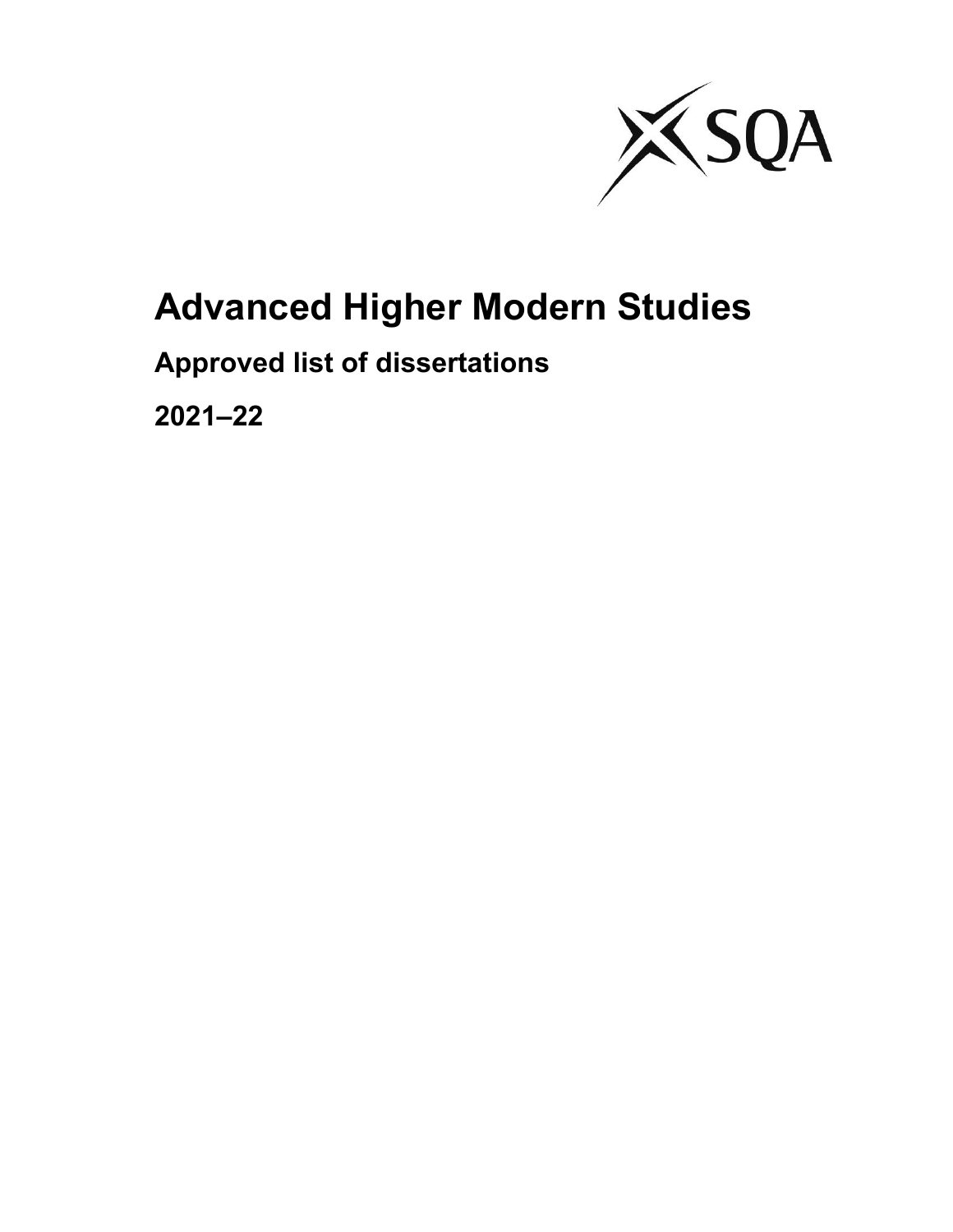

# **Advanced Higher Modern Studies**

# **Approved list of dissertations**

**2021–22**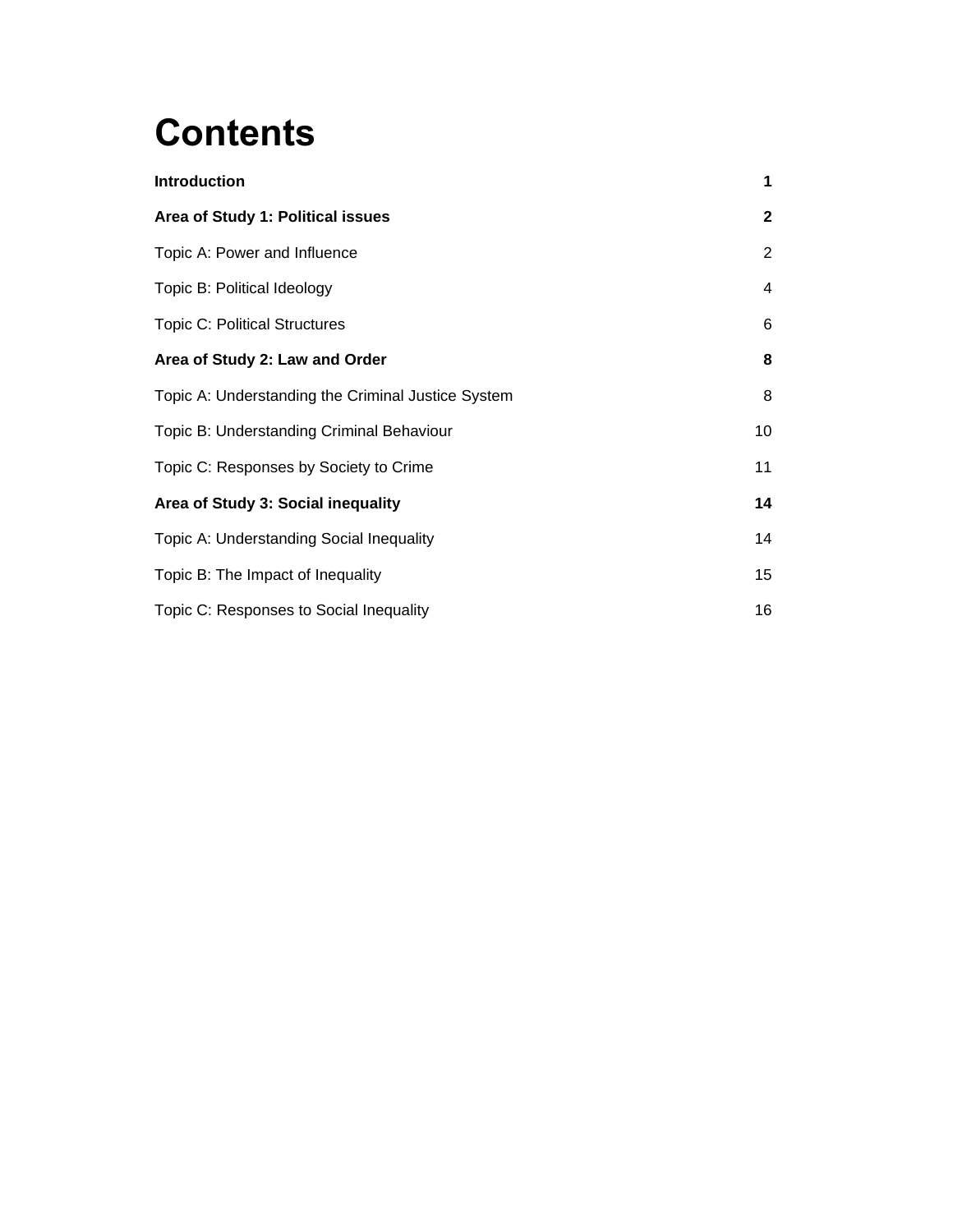# **Contents**

| <b>Introduction</b>                                | 1            |
|----------------------------------------------------|--------------|
| Area of Study 1: Political issues                  | $\mathbf{2}$ |
| Topic A: Power and Influence                       | 2            |
| Topic B: Political Ideology                        | 4            |
| <b>Topic C: Political Structures</b>               | 6            |
| Area of Study 2: Law and Order                     | 8            |
| Topic A: Understanding the Criminal Justice System | 8            |
| Topic B: Understanding Criminal Behaviour          | 10           |
| Topic C: Responses by Society to Crime             | 11           |
| Area of Study 3: Social inequality                 | 14           |
| Topic A: Understanding Social Inequality           | 14           |
| Topic B: The Impact of Inequality                  | 15           |
| Topic C: Responses to Social Inequality            | 16           |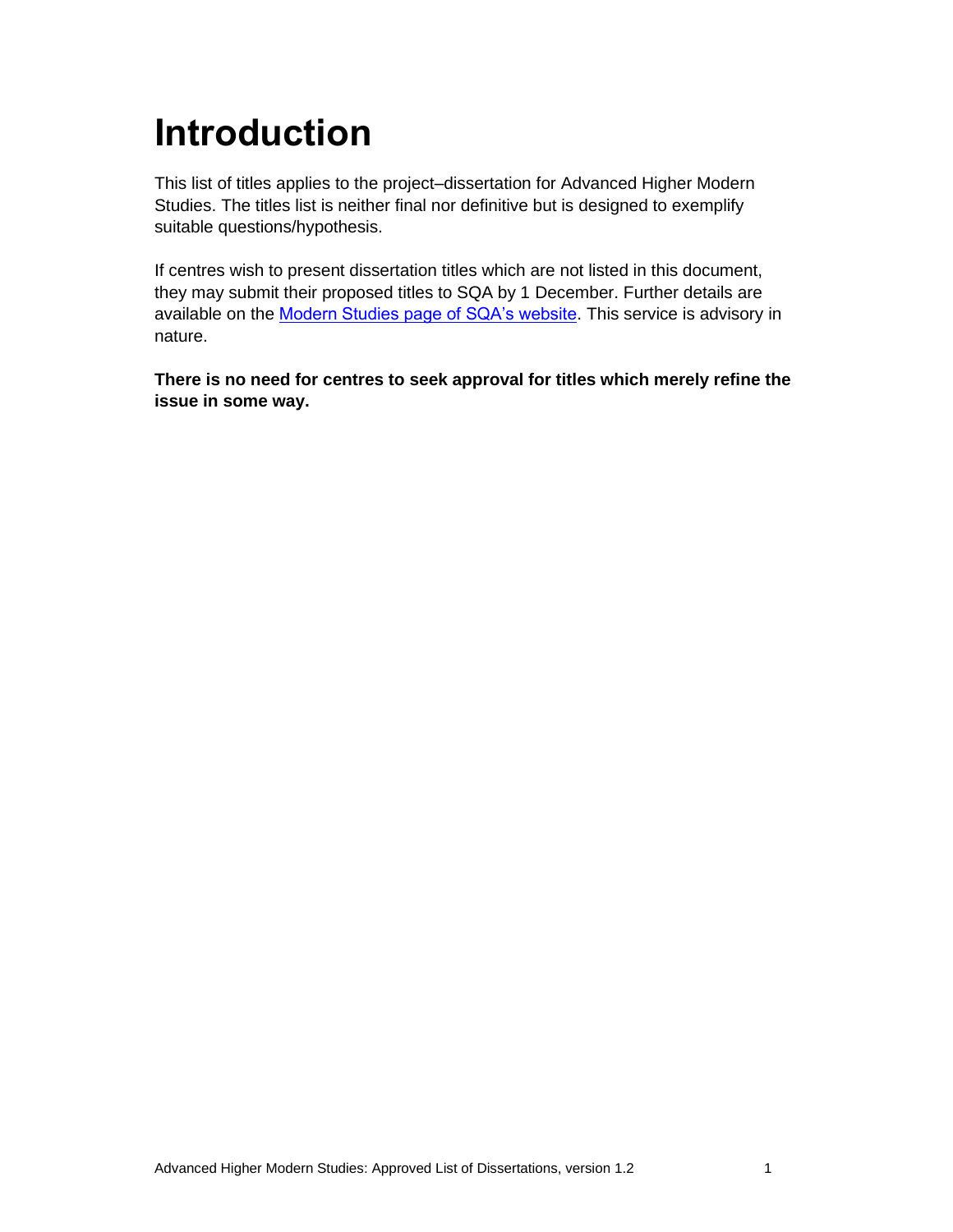# **Introduction**

This list of titles applies to the project–dissertation for Advanced Higher Modern Studies. The titles list is neither final nor definitive but is designed to exemplify suitable questions/hypothesis.

If centres wish to present dissertation titles which are not listed in this document, they may submit their proposed titles to SQA by 1 December. Further details are available on the [Modern Studies page of SQA's website.](https://www.sqa.org.uk/sqa/48467.html) This service is advisory in nature.

**There is no need for centres to seek approval for titles which merely refine the issue in some way.**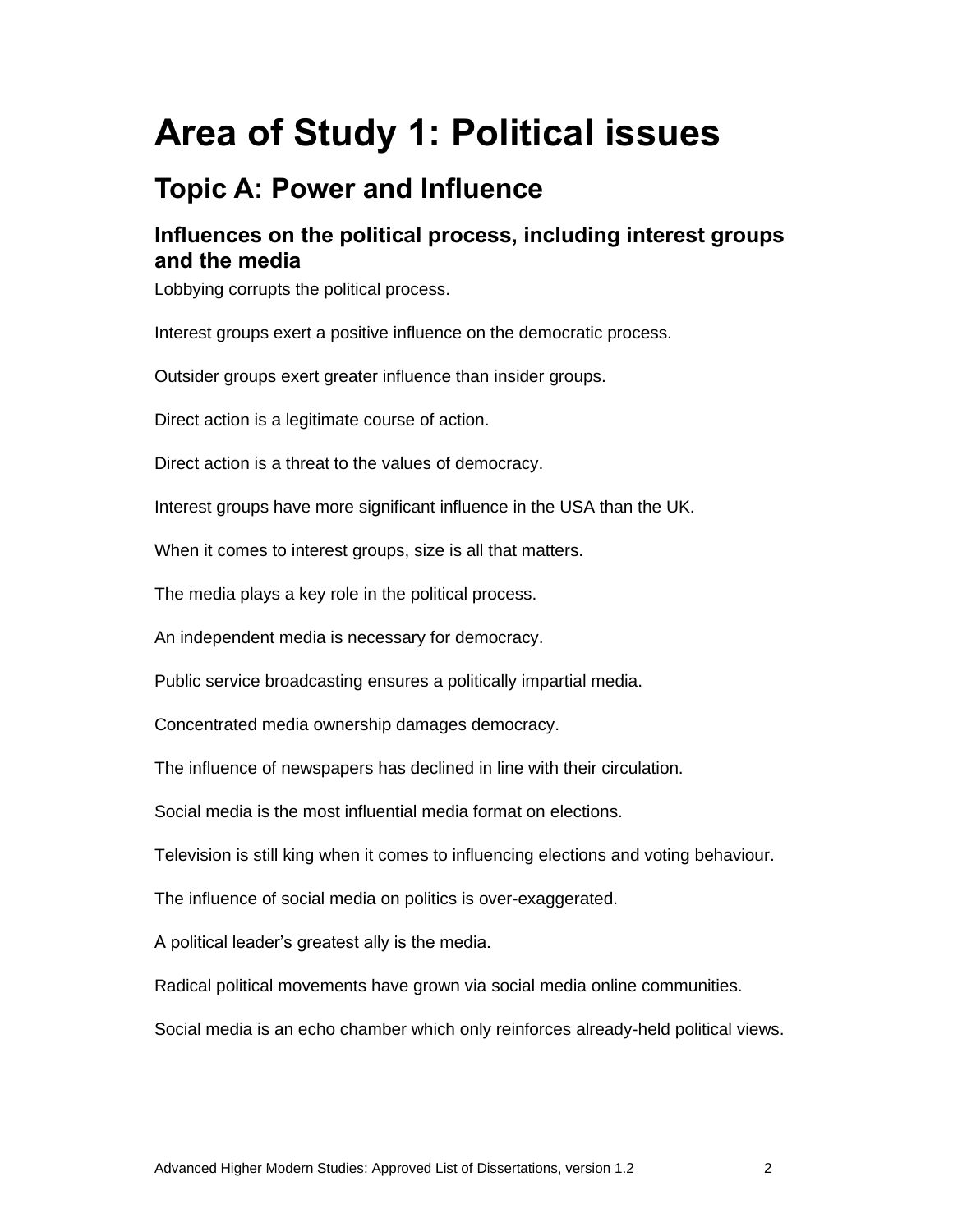# **Area of Study 1: Political issues**

# **Topic A: Power and Influence**

### **Influences on the political process, including interest groups and the media**

Lobbying corrupts the political process.

Interest groups exert a positive influence on the democratic process.

Outsider groups exert greater influence than insider groups.

Direct action is a legitimate course of action.

Direct action is a threat to the values of democracy.

Interest groups have more significant influence in the USA than the UK.

When it comes to interest groups, size is all that matters.

The media plays a key role in the political process.

An independent media is necessary for democracy.

Public service broadcasting ensures a politically impartial media.

Concentrated media ownership damages democracy.

The influence of newspapers has declined in line with their circulation.

Social media is the most influential media format on elections.

Television is still king when it comes to influencing elections and voting behaviour.

The influence of social media on politics is over-exaggerated.

A political leader's greatest ally is the media.

Radical political movements have grown via social media online communities.

Social media is an echo chamber which only reinforces already-held political views.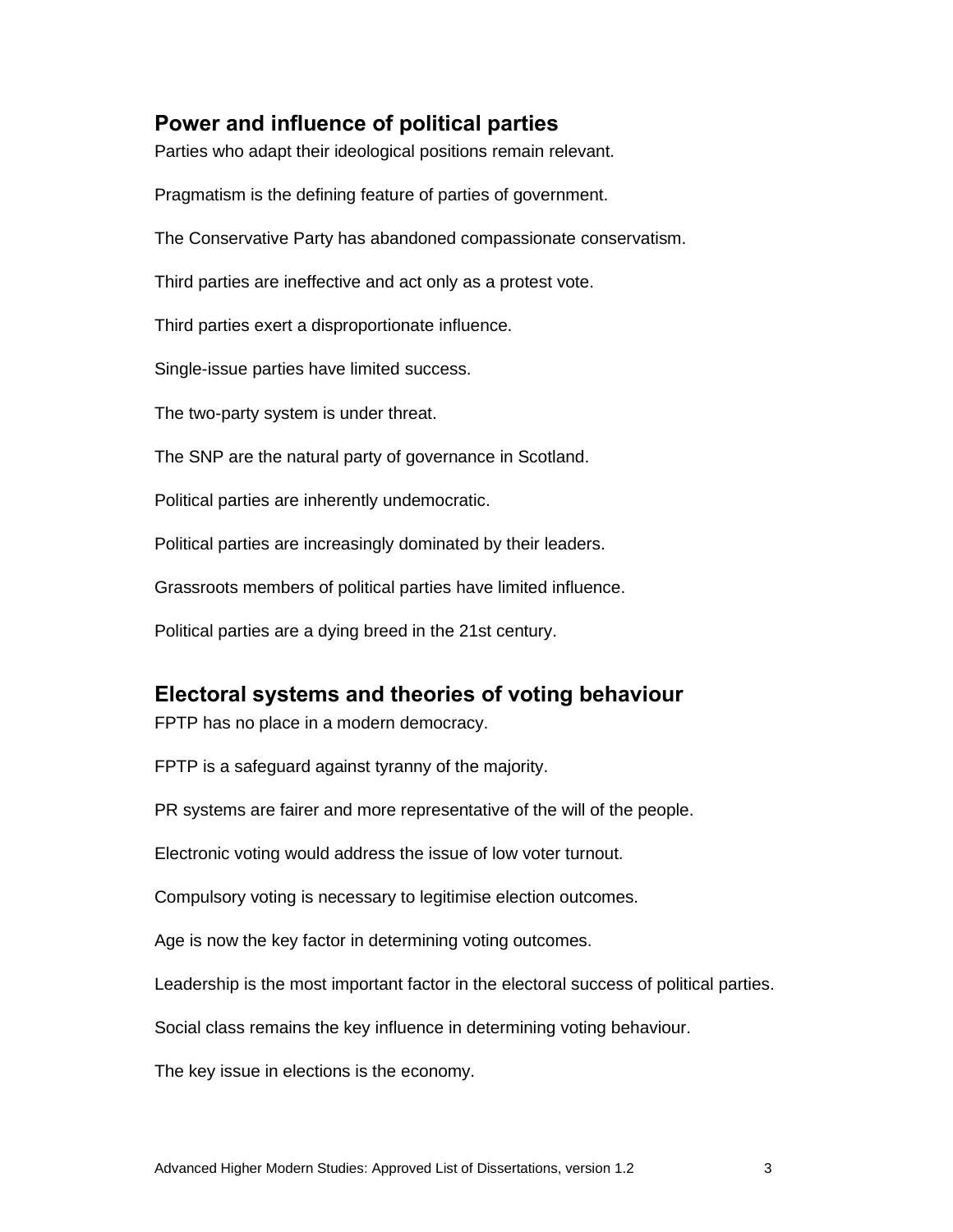#### **Power and influence of political parties**

Parties who adapt their ideological positions remain relevant.

Pragmatism is the defining feature of parties of government.

The Conservative Party has abandoned compassionate conservatism.

Third parties are ineffective and act only as a protest vote.

Third parties exert a disproportionate influence.

Single-issue parties have limited success.

The two-party system is under threat.

The SNP are the natural party of governance in Scotland.

Political parties are inherently undemocratic.

Political parties are increasingly dominated by their leaders.

Grassroots members of political parties have limited influence.

Political parties are a dying breed in the 21st century.

#### **Electoral systems and theories of voting behaviour**

FPTP has no place in a modern democracy.

FPTP is a safeguard against tyranny of the majority.

PR systems are fairer and more representative of the will of the people.

Electronic voting would address the issue of low voter turnout.

Compulsory voting is necessary to legitimise election outcomes.

Age is now the key factor in determining voting outcomes.

Leadership is the most important factor in the electoral success of political parties.

Social class remains the key influence in determining voting behaviour.

The key issue in elections is the economy.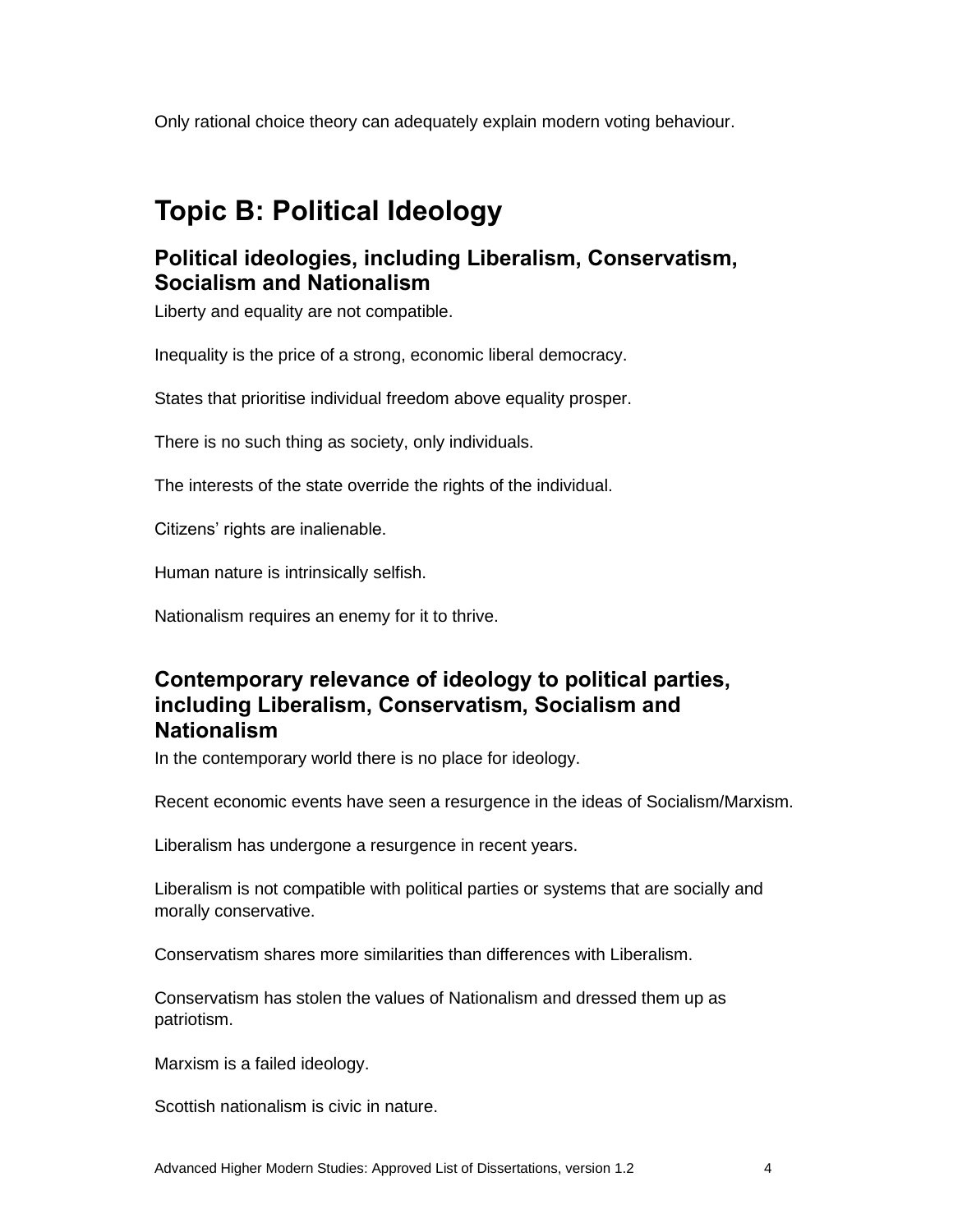Only rational choice theory can adequately explain modern voting behaviour.

# **Topic B: Political Ideology**

### **Political ideologies, including Liberalism, Conservatism, Socialism and Nationalism**

Liberty and equality are not compatible.

Inequality is the price of a strong, economic liberal democracy.

States that prioritise individual freedom above equality prosper.

There is no such thing as society, only individuals.

The interests of the state override the rights of the individual.

Citizens' rights are inalienable.

Human nature is intrinsically selfish.

Nationalism requires an enemy for it to thrive.

#### **Contemporary relevance of ideology to political parties, including Liberalism, Conservatism, Socialism and Nationalism**

In the contemporary world there is no place for ideology.

Recent economic events have seen a resurgence in the ideas of Socialism/Marxism.

Liberalism has undergone a resurgence in recent years.

Liberalism is not compatible with political parties or systems that are socially and morally conservative.

Conservatism shares more similarities than differences with Liberalism.

Conservatism has stolen the values of Nationalism and dressed them up as patriotism.

Marxism is a failed ideology.

Scottish nationalism is civic in nature.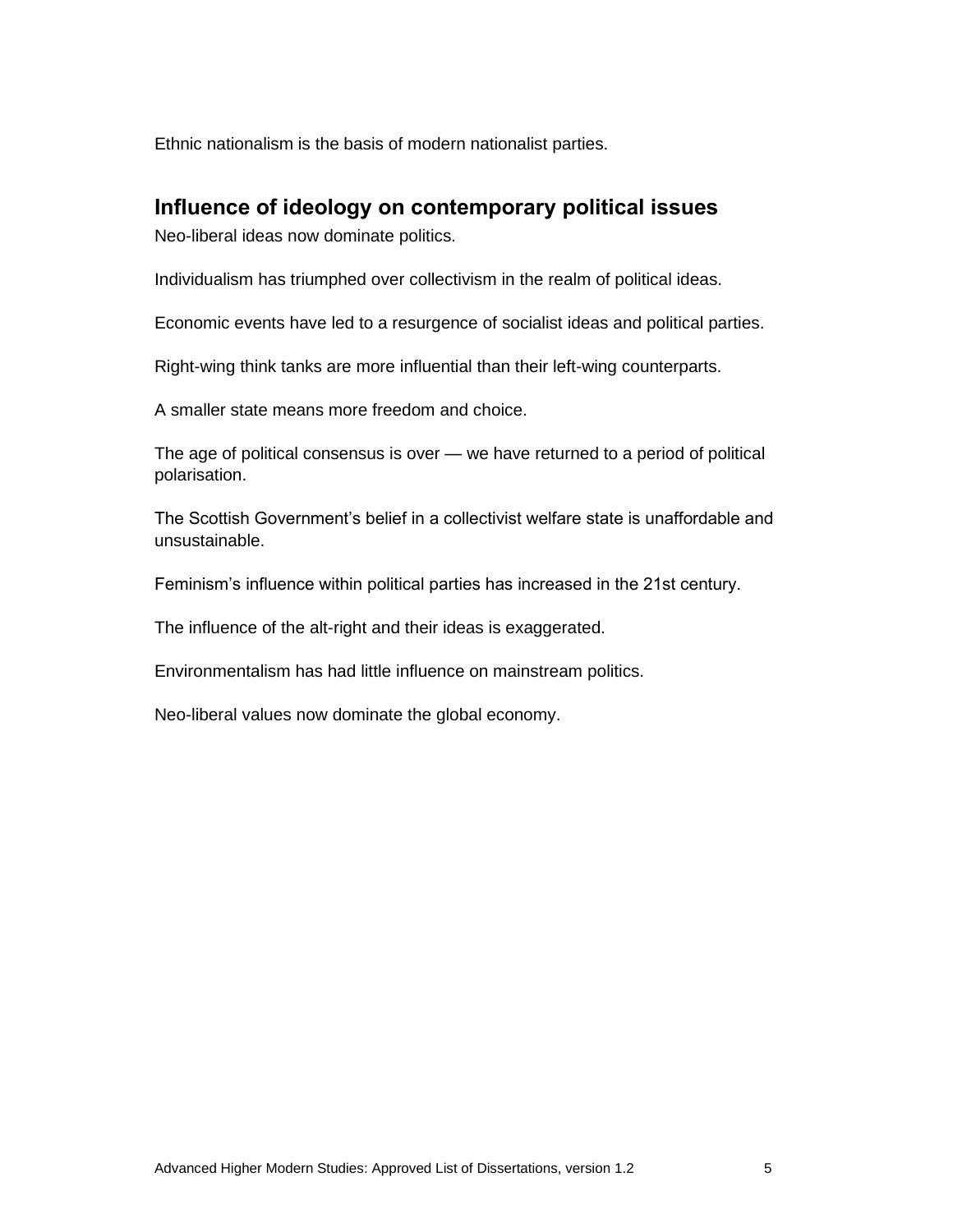Ethnic nationalism is the basis of modern nationalist parties.

#### **Influence of ideology on contemporary political issues**

Neo-liberal ideas now dominate politics.

Individualism has triumphed over collectivism in the realm of political ideas.

Economic events have led to a resurgence of socialist ideas and political parties.

Right-wing think tanks are more influential than their left-wing counterparts.

A smaller state means more freedom and choice.

The age of political consensus is over — we have returned to a period of political polarisation.

The Scottish Government's belief in a collectivist welfare state is unaffordable and unsustainable.

Feminism's influence within political parties has increased in the 21st century.

The influence of the alt-right and their ideas is exaggerated.

Environmentalism has had little influence on mainstream politics.

Neo-liberal values now dominate the global economy.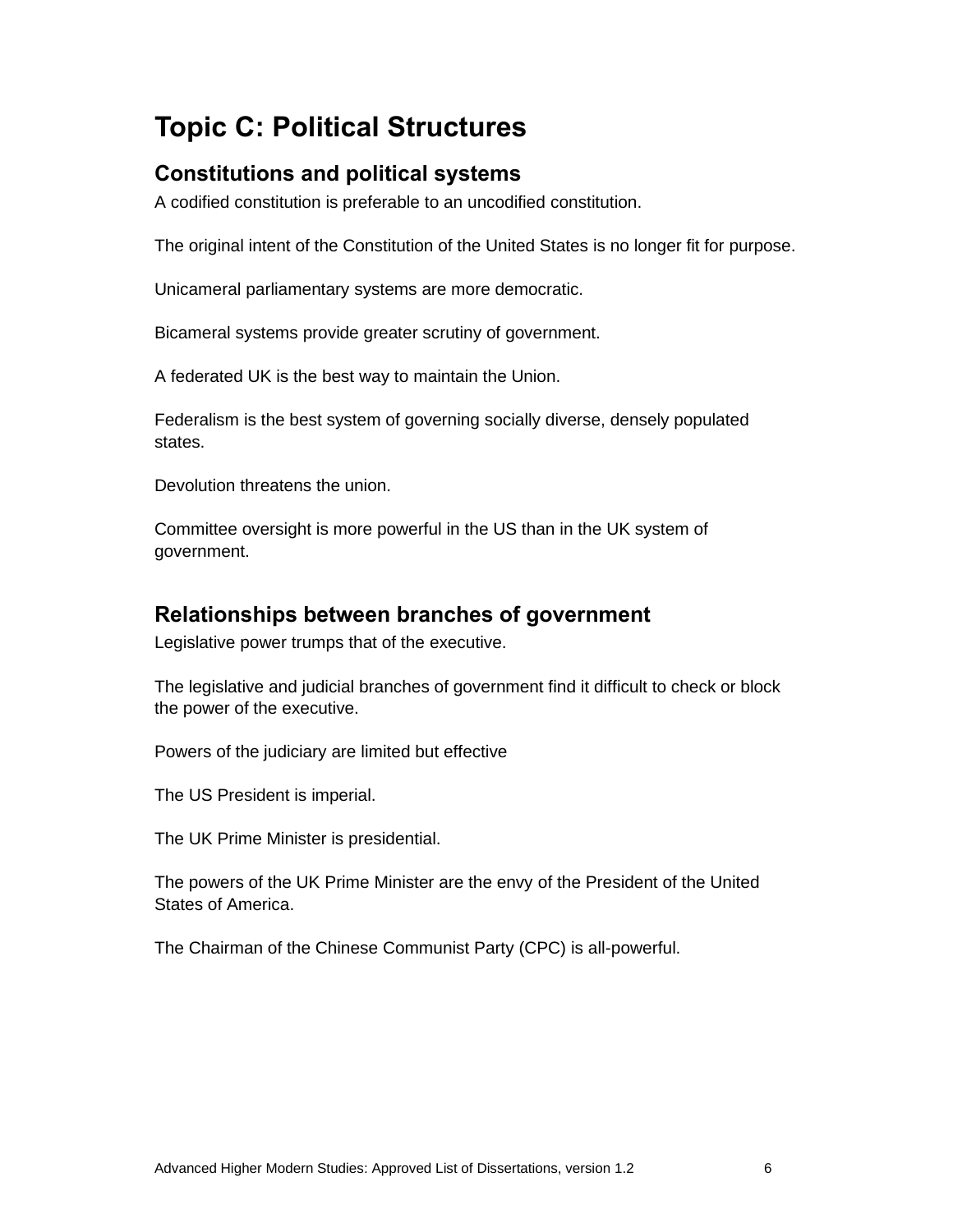# **Topic C: Political Structures**

### **Constitutions and political systems**

A codified constitution is preferable to an uncodified constitution.

The original intent of the Constitution of the United States is no longer fit for purpose.

Unicameral parliamentary systems are more democratic.

Bicameral systems provide greater scrutiny of government.

A federated UK is the best way to maintain the Union.

Federalism is the best system of governing socially diverse, densely populated states.

Devolution threatens the union.

Committee oversight is more powerful in the US than in the UK system of government.

#### **Relationships between branches of government**

Legislative power trumps that of the executive.

The legislative and judicial branches of government find it difficult to check or block the power of the executive.

Powers of the judiciary are limited but effective

The US President is imperial.

The UK Prime Minister is presidential.

The powers of the UK Prime Minister are the envy of the President of the United States of America.

The Chairman of the Chinese Communist Party (CPC) is all-powerful.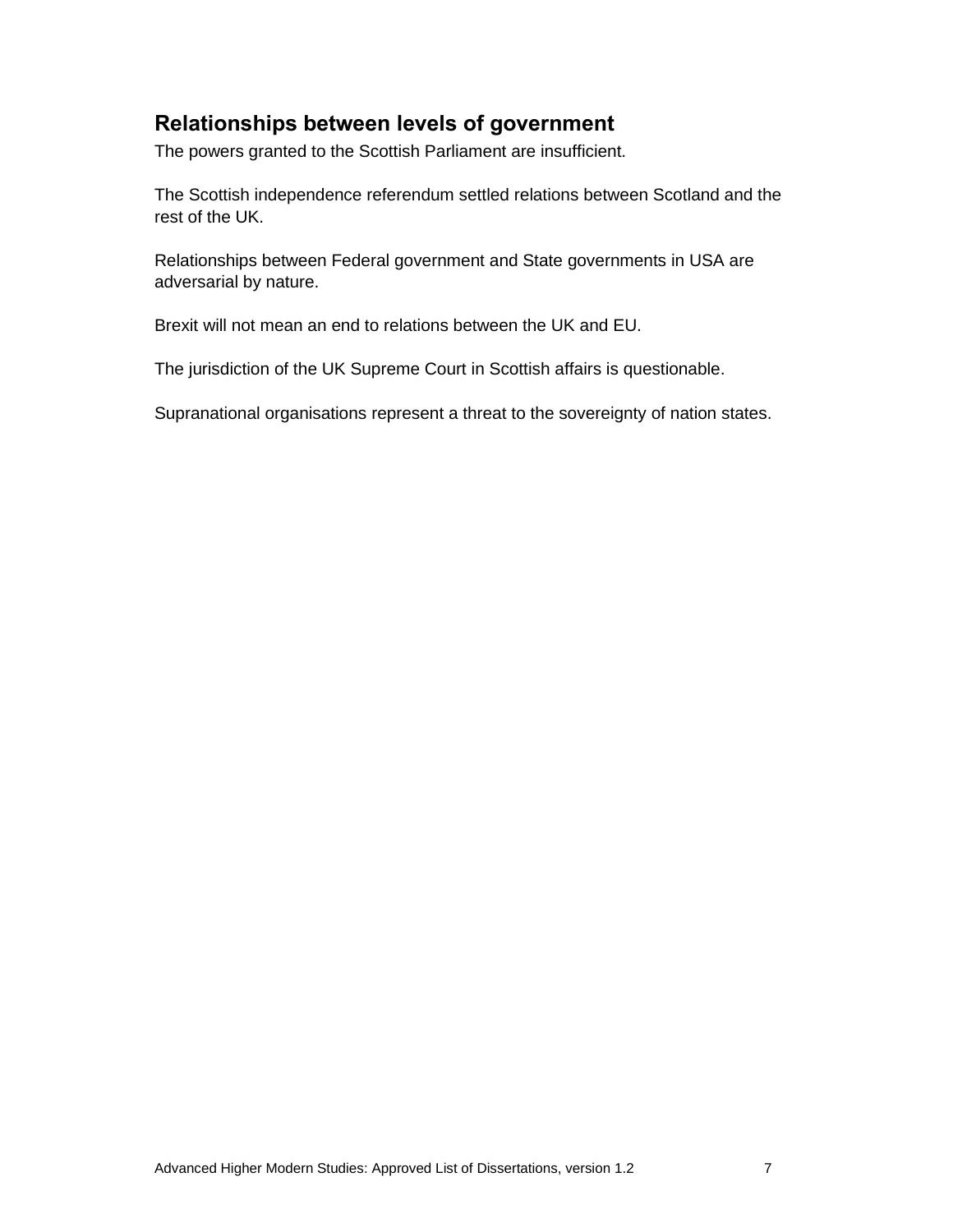## **Relationships between levels of government**

The powers granted to the Scottish Parliament are insufficient.

The Scottish independence referendum settled relations between Scotland and the rest of the UK.

Relationships between Federal government and State governments in USA are adversarial by nature.

Brexit will not mean an end to relations between the UK and EU.

The jurisdiction of the UK Supreme Court in Scottish affairs is questionable.

Supranational organisations represent a threat to the sovereignty of nation states.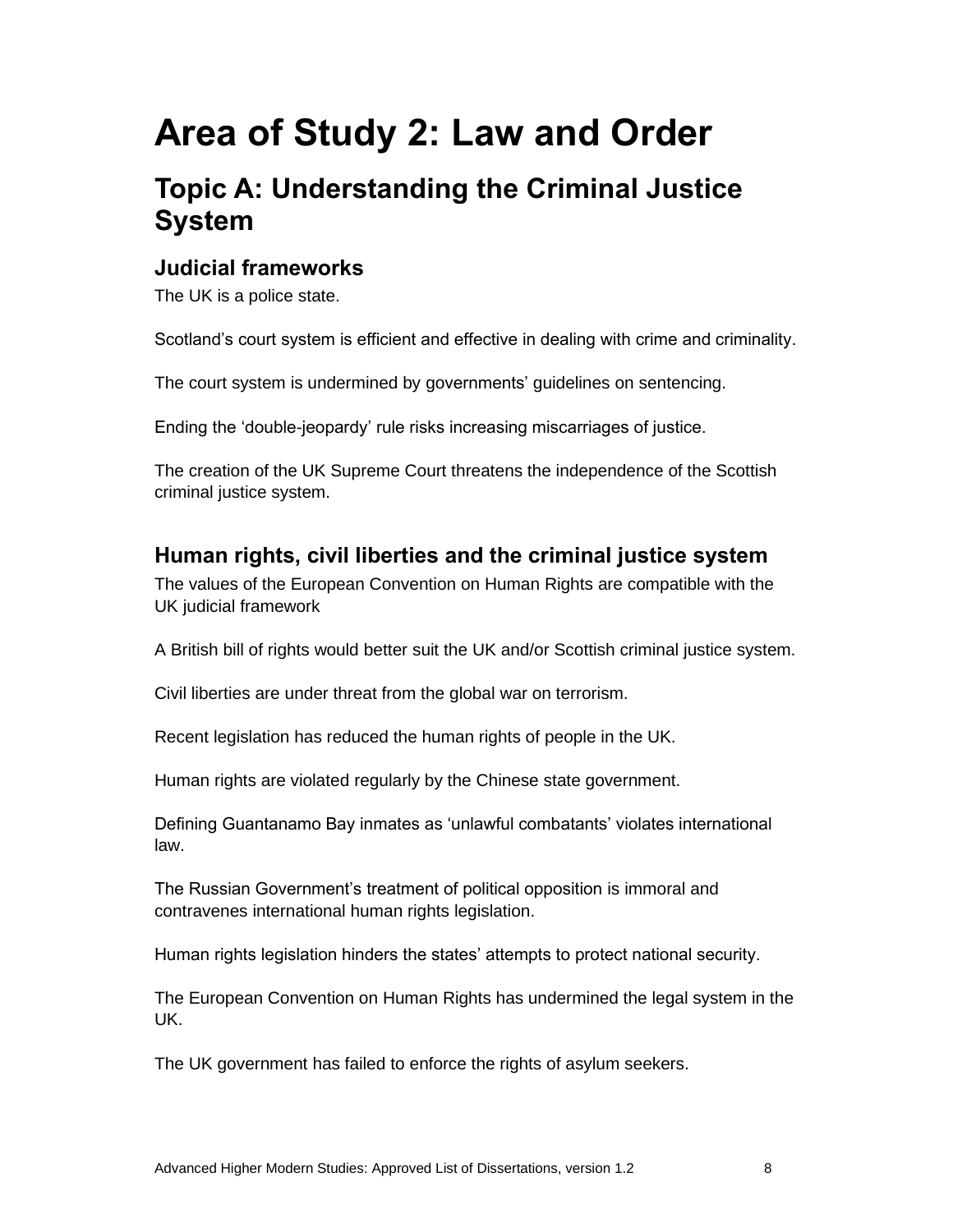# **Area of Study 2: Law and Order**

# **Topic A: Understanding the Criminal Justice System**

### **Judicial frameworks**

The UK is a police state.

Scotland's court system is efficient and effective in dealing with crime and criminality.

The court system is undermined by governments' guidelines on sentencing.

Ending the 'double-jeopardy' rule risks increasing miscarriages of justice.

The creation of the UK Supreme Court threatens the independence of the Scottish criminal justice system.

## **Human rights, civil liberties and the criminal justice system**

The values of the European Convention on Human Rights are compatible with the UK judicial framework

A British bill of rights would better suit the UK and/or Scottish criminal justice system.

Civil liberties are under threat from the global war on terrorism.

Recent legislation has reduced the human rights of people in the UK.

Human rights are violated regularly by the Chinese state government.

Defining Guantanamo Bay inmates as 'unlawful combatants' violates international law.

The Russian Government's treatment of political opposition is immoral and contravenes international human rights legislation.

Human rights legislation hinders the states' attempts to protect national security.

The European Convention on Human Rights has undermined the legal system in the UK.

The UK government has failed to enforce the rights of asylum seekers.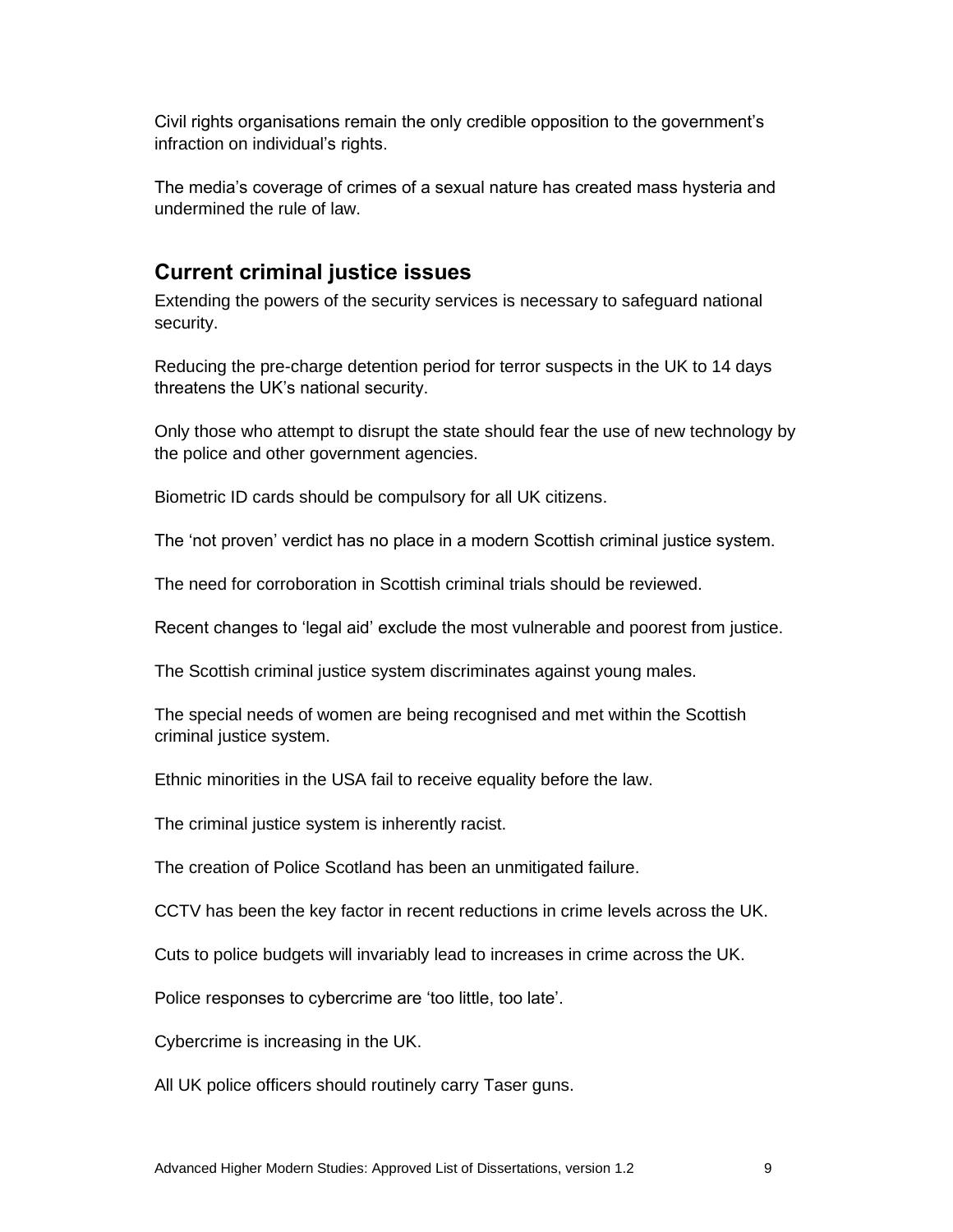Civil rights organisations remain the only credible opposition to the government's infraction on individual's rights.

The media's coverage of crimes of a sexual nature has created mass hysteria and undermined the rule of law.

## **Current criminal justice issues**

Extending the powers of the security services is necessary to safeguard national security.

Reducing the pre-charge detention period for terror suspects in the UK to 14 days threatens the UK's national security.

Only those who attempt to disrupt the state should fear the use of new technology by the police and other government agencies.

Biometric ID cards should be compulsory for all UK citizens.

The 'not proven' verdict has no place in a modern Scottish criminal justice system.

The need for corroboration in Scottish criminal trials should be reviewed.

Recent changes to 'legal aid' exclude the most vulnerable and poorest from justice.

The Scottish criminal justice system discriminates against young males.

The special needs of women are being recognised and met within the Scottish criminal justice system.

Ethnic minorities in the USA fail to receive equality before the law.

The criminal justice system is inherently racist.

The creation of Police Scotland has been an unmitigated failure.

CCTV has been the key factor in recent reductions in crime levels across the UK.

Cuts to police budgets will invariably lead to increases in crime across the UK.

Police responses to cybercrime are 'too little, too late'.

Cybercrime is increasing in the UK.

All UK police officers should routinely carry Taser guns.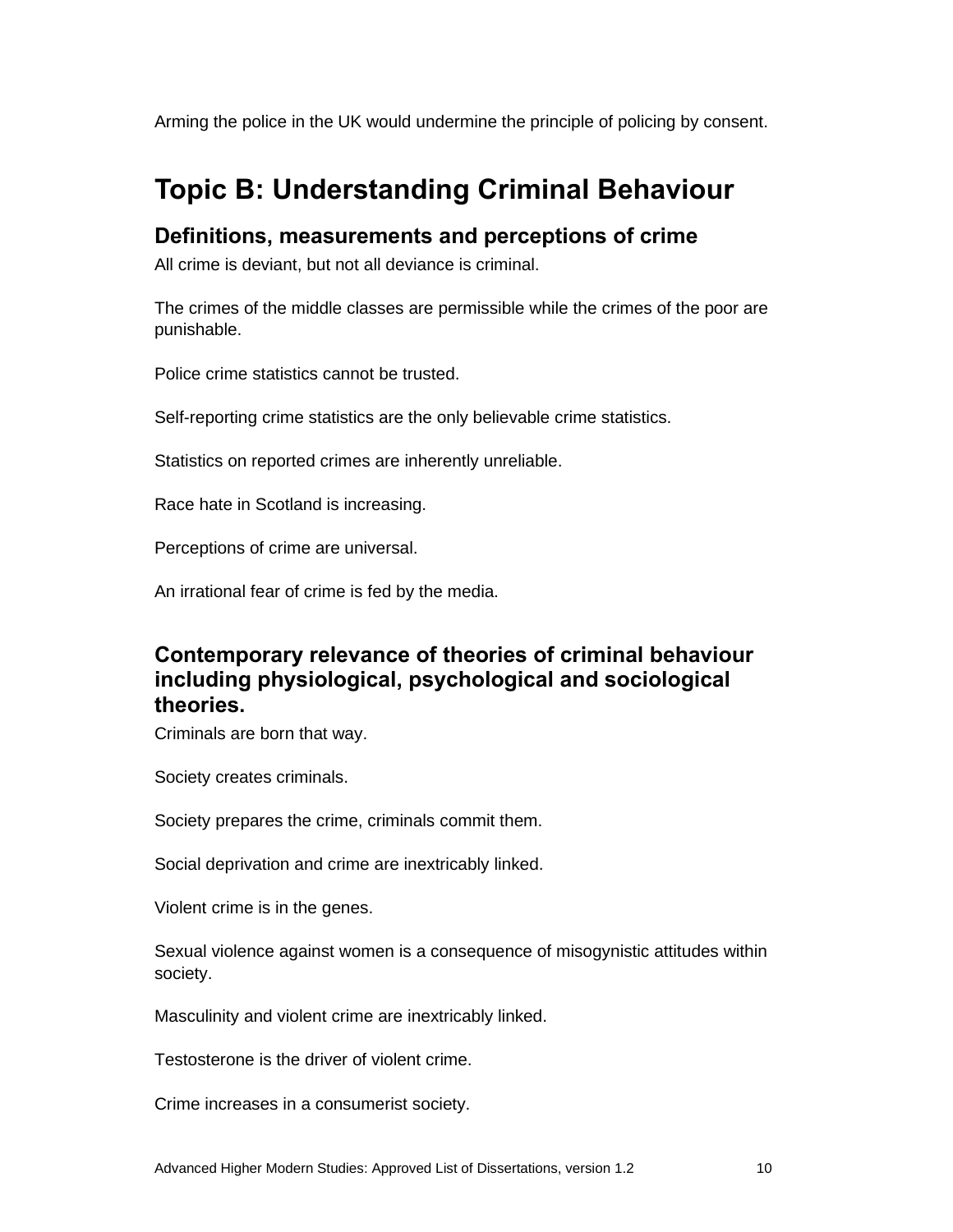Arming the police in the UK would undermine the principle of policing by consent.

# **Topic B: Understanding Criminal Behaviour**

#### **Definitions, measurements and perceptions of crime**

All crime is deviant, but not all deviance is criminal.

The crimes of the middle classes are permissible while the crimes of the poor are punishable.

Police crime statistics cannot be trusted.

Self-reporting crime statistics are the only believable crime statistics.

Statistics on reported crimes are inherently unreliable.

Race hate in Scotland is increasing.

Perceptions of crime are universal.

An irrational fear of crime is fed by the media.

## **Contemporary relevance of theories of criminal behaviour including physiological, psychological and sociological theories.**

Criminals are born that way.

Society creates criminals.

Society prepares the crime, criminals commit them.

Social deprivation and crime are inextricably linked.

Violent crime is in the genes.

Sexual violence against women is a consequence of misogynistic attitudes within society.

Masculinity and violent crime are inextricably linked.

Testosterone is the driver of violent crime.

Crime increases in a consumerist society.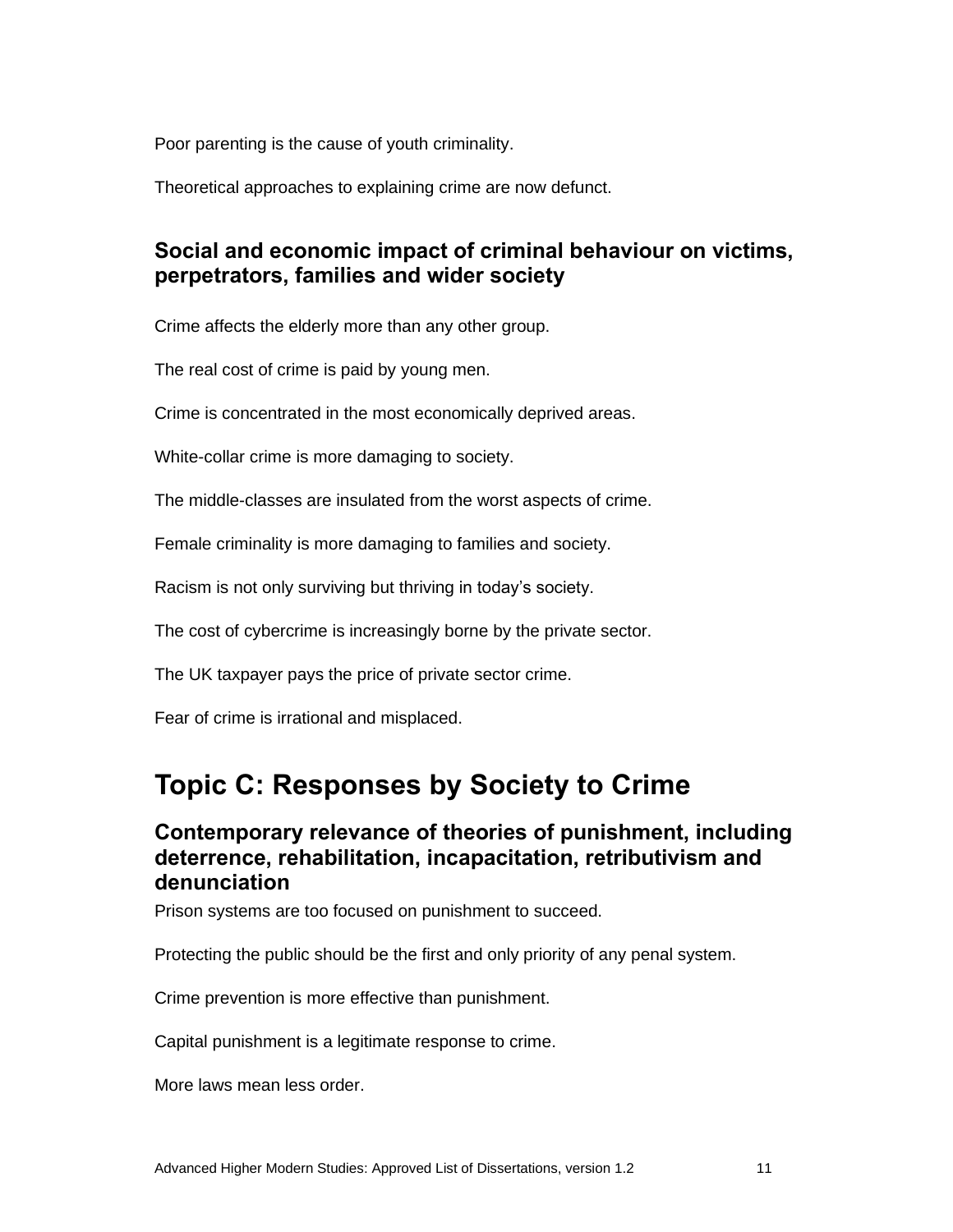Poor parenting is the cause of youth criminality.

Theoretical approaches to explaining crime are now defunct.

### **Social and economic impact of criminal behaviour on victims, perpetrators, families and wider society**

Crime affects the elderly more than any other group.

The real cost of crime is paid by young men.

Crime is concentrated in the most economically deprived areas.

White-collar crime is more damaging to society.

The middle-classes are insulated from the worst aspects of crime.

Female criminality is more damaging to families and society.

Racism is not only surviving but thriving in today's society.

The cost of cybercrime is increasingly borne by the private sector.

The UK taxpayer pays the price of private sector crime.

Fear of crime is irrational and misplaced.

## **Topic C: Responses by Society to Crime**

#### **Contemporary relevance of theories of punishment, including deterrence, rehabilitation, incapacitation, retributivism and denunciation**

Prison systems are too focused on punishment to succeed.

Protecting the public should be the first and only priority of any penal system.

Crime prevention is more effective than punishment.

Capital punishment is a legitimate response to crime.

More laws mean less order.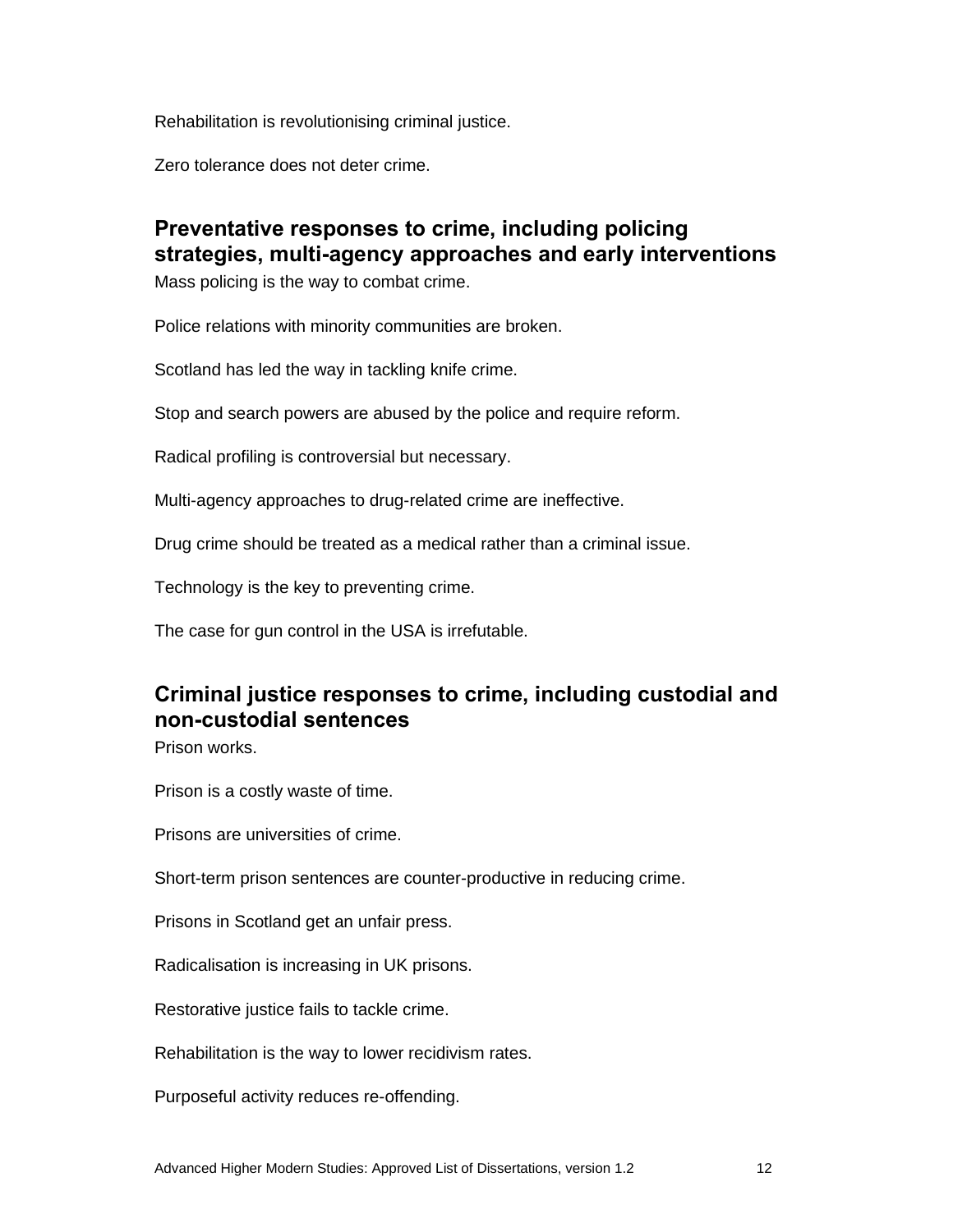Rehabilitation is revolutionising criminal justice.

Zero tolerance does not deter crime.

### **Preventative responses to crime, including policing strategies, multi-agency approaches and early interventions**

Mass policing is the way to combat crime.

Police relations with minority communities are broken.

Scotland has led the way in tackling knife crime.

Stop and search powers are abused by the police and require reform.

Radical profiling is controversial but necessary.

Multi-agency approaches to drug-related crime are ineffective.

Drug crime should be treated as a medical rather than a criminal issue.

Technology is the key to preventing crime.

The case for gun control in the USA is irrefutable.

## **Criminal justice responses to crime, including custodial and non-custodial sentences**

Prison works.

Prison is a costly waste of time.

Prisons are universities of crime.

Short-term prison sentences are counter-productive in reducing crime.

Prisons in Scotland get an unfair press.

Radicalisation is increasing in UK prisons.

Restorative justice fails to tackle crime.

Rehabilitation is the way to lower recidivism rates.

Purposeful activity reduces re-offending.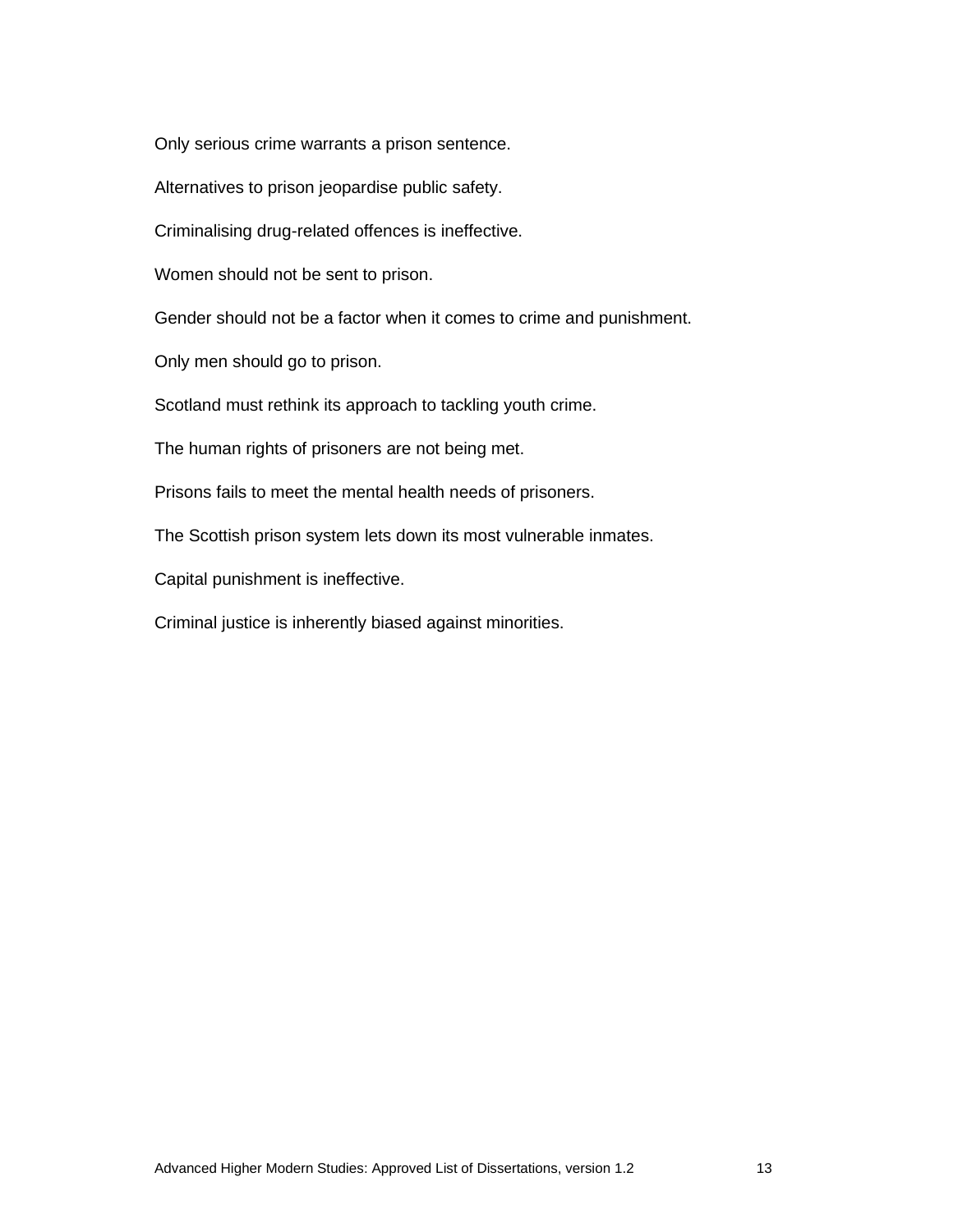Only serious crime warrants a prison sentence.

Alternatives to prison jeopardise public safety.

Criminalising drug-related offences is ineffective.

Women should not be sent to prison.

Gender should not be a factor when it comes to crime and punishment.

Only men should go to prison.

Scotland must rethink its approach to tackling youth crime.

The human rights of prisoners are not being met.

Prisons fails to meet the mental health needs of prisoners.

The Scottish prison system lets down its most vulnerable inmates.

Capital punishment is ineffective.

Criminal justice is inherently biased against minorities.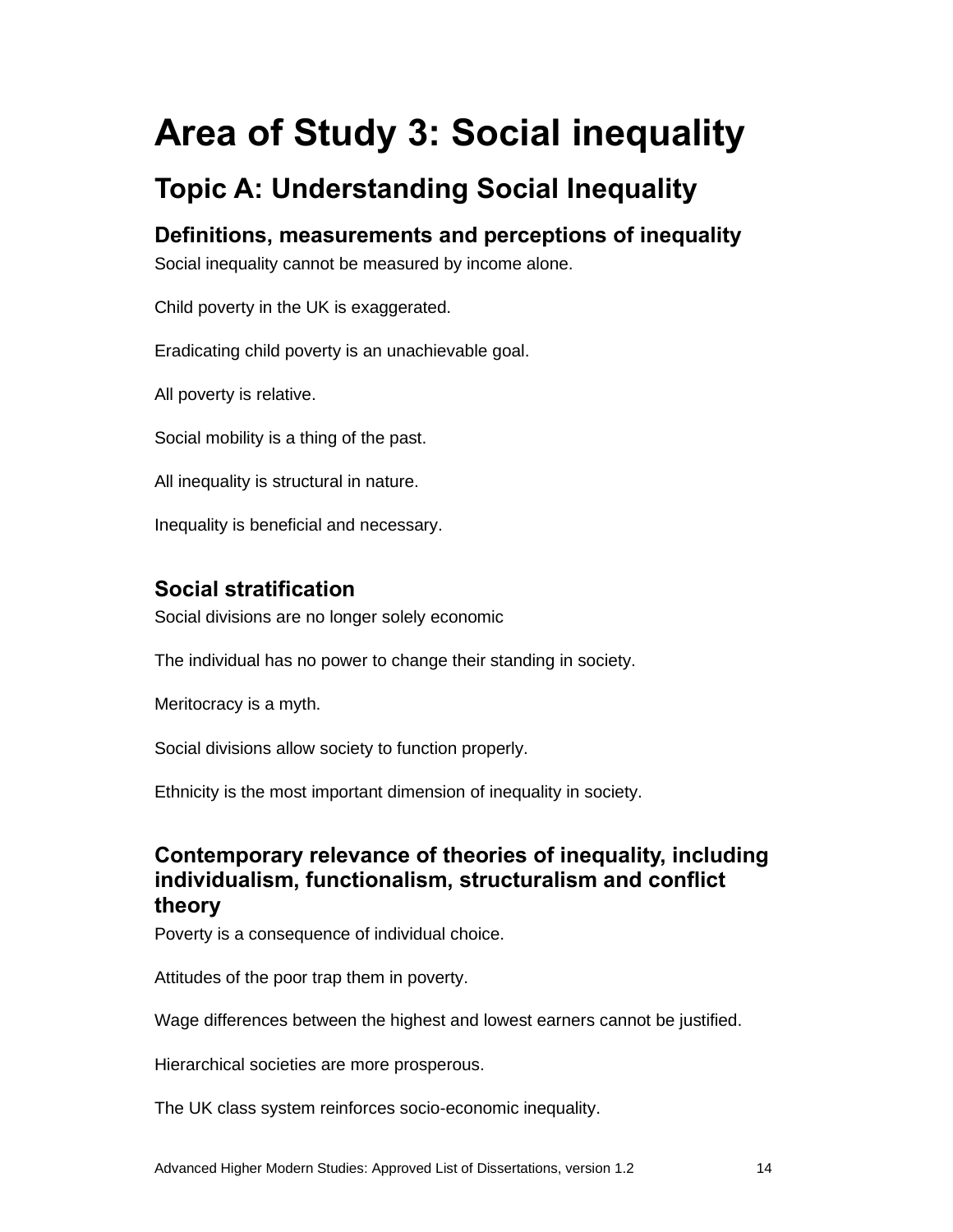# **Area of Study 3: Social inequality**

# **Topic A: Understanding Social Inequality**

**Definitions, measurements and perceptions of inequality**

Social inequality cannot be measured by income alone.

Child poverty in the UK is exaggerated.

Eradicating child poverty is an unachievable goal.

All poverty is relative.

Social mobility is a thing of the past.

All inequality is structural in nature.

Inequality is beneficial and necessary.

## **Social stratification**

Social divisions are no longer solely economic

The individual has no power to change their standing in society.

Meritocracy is a myth.

Social divisions allow society to function properly.

Ethnicity is the most important dimension of inequality in society.

### **Contemporary relevance of theories of inequality, including individualism, functionalism, structuralism and conflict theory**

Poverty is a consequence of individual choice.

Attitudes of the poor trap them in poverty.

Wage differences between the highest and lowest earners cannot be justified.

Hierarchical societies are more prosperous.

The UK class system reinforces socio-economic inequality.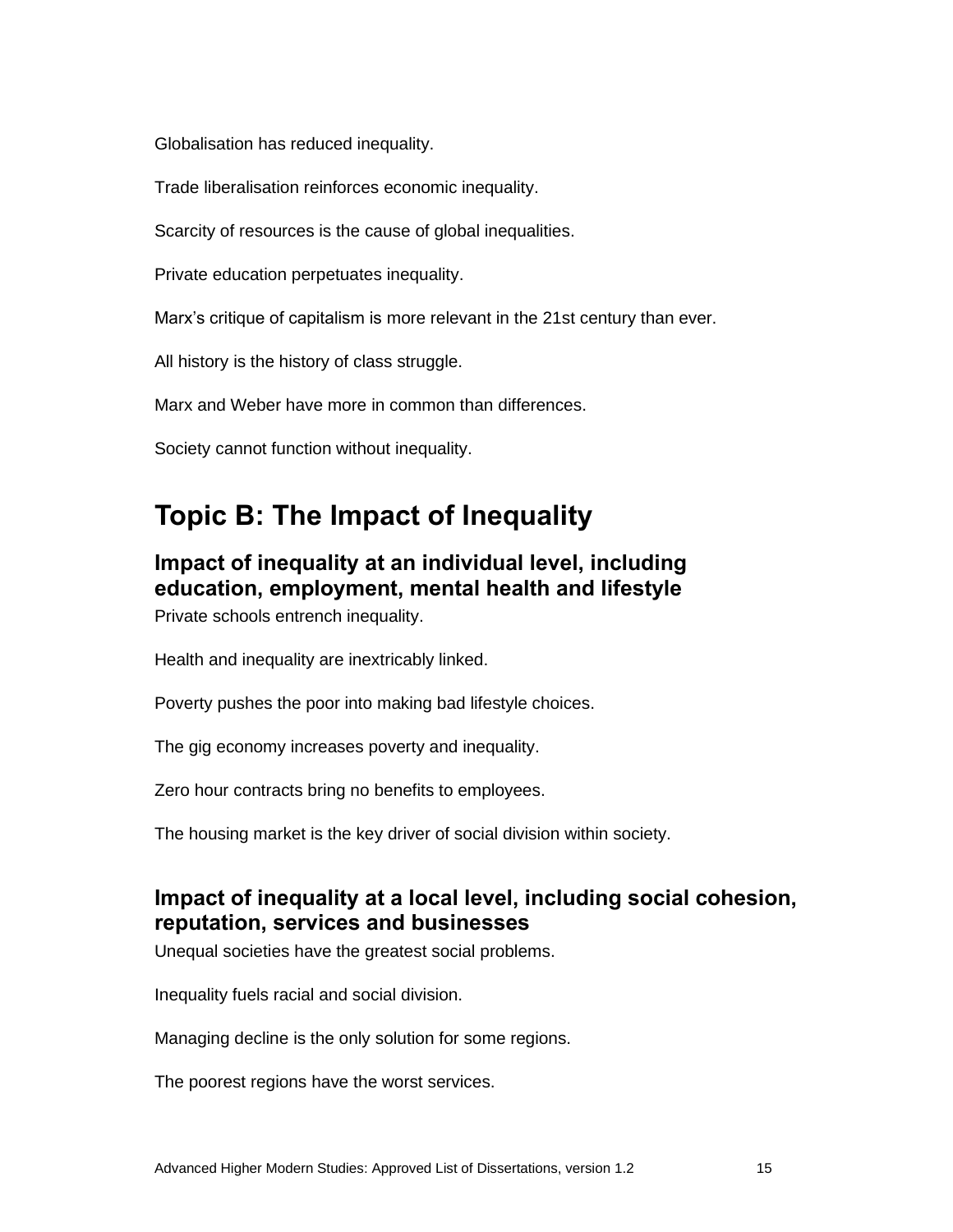Globalisation has reduced inequality.

Trade liberalisation reinforces economic inequality.

Scarcity of resources is the cause of global inequalities.

Private education perpetuates inequality.

Marx's critique of capitalism is more relevant in the 21st century than ever.

All history is the history of class struggle.

Marx and Weber have more in common than differences.

Society cannot function without inequality.

# **Topic B: The Impact of Inequality**

### **Impact of inequality at an individual level, including education, employment, mental health and lifestyle**

Private schools entrench inequality.

Health and inequality are inextricably linked.

Poverty pushes the poor into making bad lifestyle choices.

The gig economy increases poverty and inequality.

Zero hour contracts bring no benefits to employees.

The housing market is the key driver of social division within society.

#### **Impact of inequality at a local level, including social cohesion, reputation, services and businesses**

Unequal societies have the greatest social problems.

Inequality fuels racial and social division.

Managing decline is the only solution for some regions.

The poorest regions have the worst services.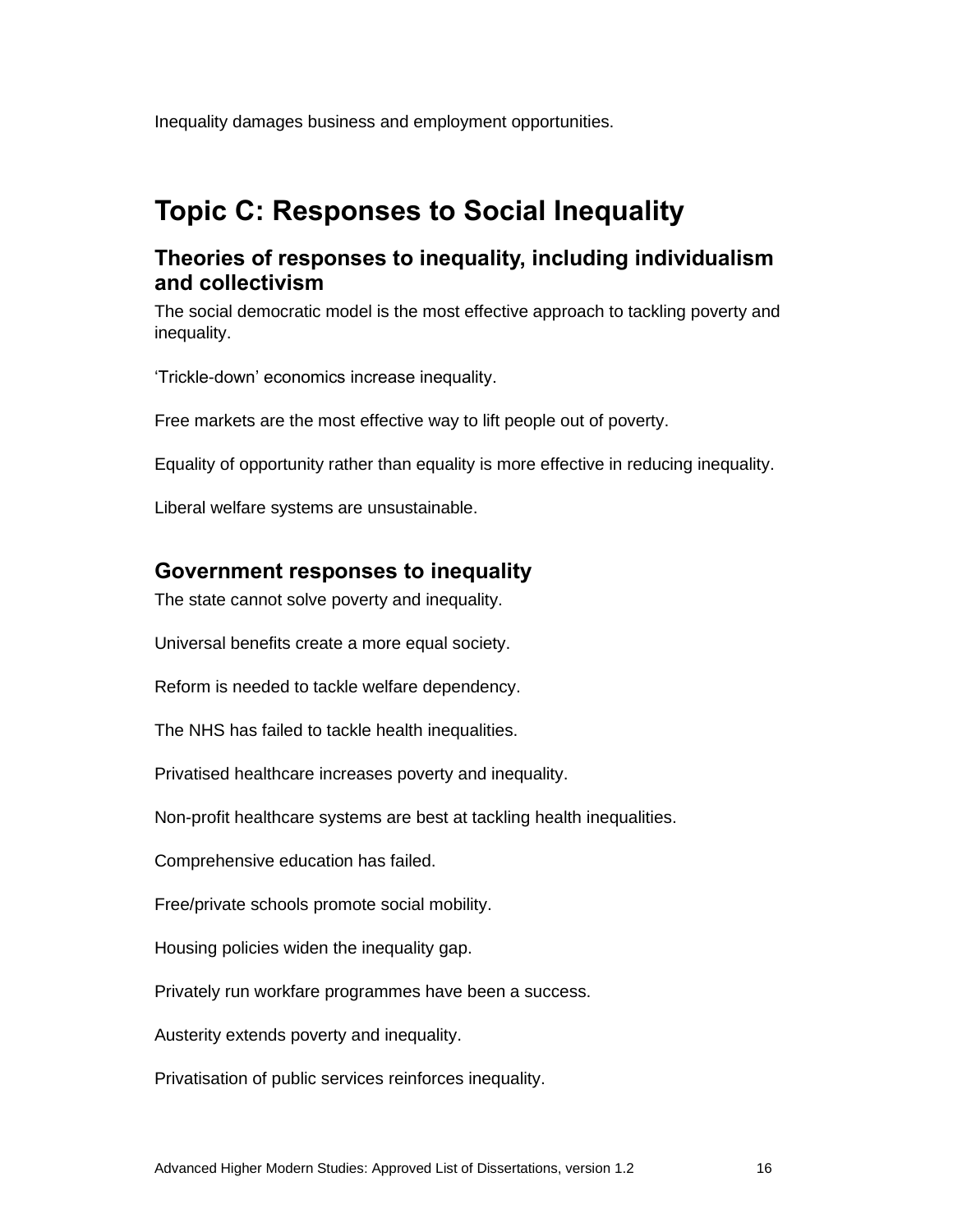Inequality damages business and employment opportunities.

# **Topic C: Responses to Social Inequality**

#### **Theories of responses to inequality, including individualism and collectivism**

The social democratic model is the most effective approach to tackling poverty and inequality.

'Trickle-down' economics increase inequality.

Free markets are the most effective way to lift people out of poverty.

Equality of opportunity rather than equality is more effective in reducing inequality.

Liberal welfare systems are unsustainable.

#### **Government responses to inequality**

The state cannot solve poverty and inequality.

Universal benefits create a more equal society.

Reform is needed to tackle welfare dependency.

The NHS has failed to tackle health inequalities.

Privatised healthcare increases poverty and inequality.

Non-profit healthcare systems are best at tackling health inequalities.

Comprehensive education has failed.

Free/private schools promote social mobility.

Housing policies widen the inequality gap.

Privately run workfare programmes have been a success.

Austerity extends poverty and inequality.

Privatisation of public services reinforces inequality.